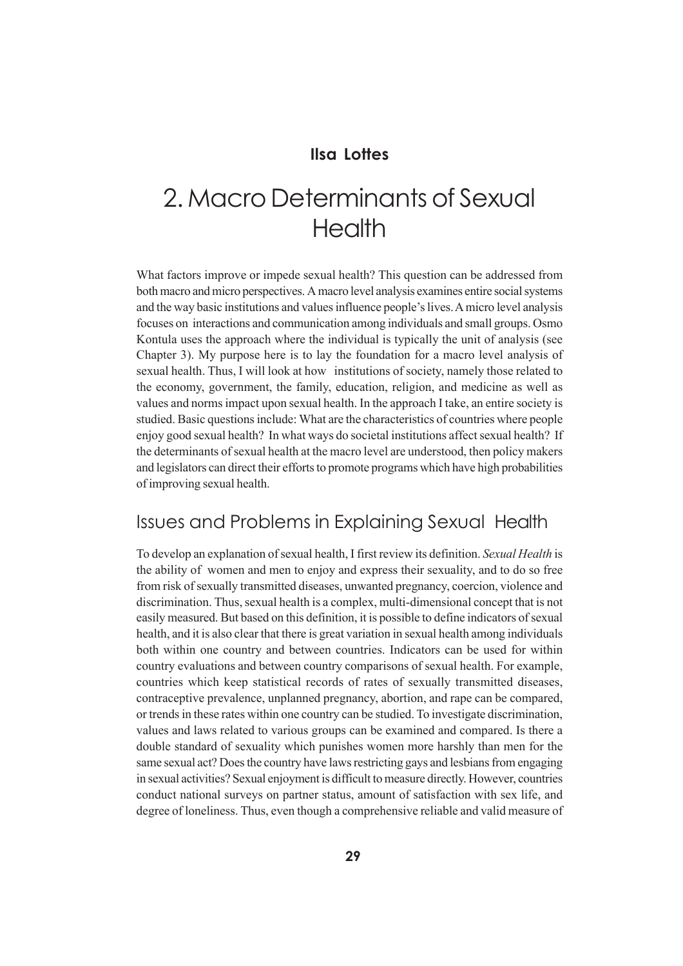### **Ilsa Lottes**

# 2. Macro Determinants of Sexual **Health**

What factors improve or impede sexual health? This question can be addressed from both macro and micro perspectives. A macro level analysis examines entire social systems and the way basic institutions and values influence people's lives. A micro level analysis focuses on interactions and communication among individuals and small groups. Osmo Kontula uses the approach where the individual is typically the unit of analysis (see Chapter 3). My purpose here is to lay the foundation for a macro level analysis of sexual health. Thus, I will look at how institutions of society, namely those related to the economy, government, the family, education, religion, and medicine as well as values and norms impact upon sexual health. In the approach I take, an entire society is studied. Basic questions include: What are the characteristics of countries where people enjoy good sexual health? In what ways do societal institutions affect sexual health? If the determinants of sexual health at the macro level are understood, then policy makers and legislators can direct their efforts to promote programs which have high probabilities of improving sexual health.

# Issues and Problems in Explaining Sexual Health

To develop an explanation of sexual health, I first review its definition. *Sexual Health* is the ability of women and men to enjoy and express their sexuality, and to do so free from risk of sexually transmitted diseases, unwanted pregnancy, coercion, violence and discrimination. Thus, sexual health is a complex, multi-dimensional concept that is not easily measured. But based on this definition, it is possible to define indicators of sexual health, and it is also clear that there is great variation in sexual health among individuals both within one country and between countries. Indicators can be used for within country evaluations and between country comparisons of sexual health. For example, countries which keep statistical records of rates of sexually transmitted diseases, contraceptive prevalence, unplanned pregnancy, abortion, and rape can be compared, or trends in these rates within one country can be studied. To investigate discrimination, values and laws related to various groups can be examined and compared. Is there a double standard of sexuality which punishes women more harshly than men for the same sexual act? Does the country have laws restricting gays and lesbians from engaging in sexual activities? Sexual enjoyment is difficult to measure directly. However, countries conduct national surveys on partner status, amount of satisfaction with sex life, and degree of loneliness. Thus, even though a comprehensive reliable and valid measure of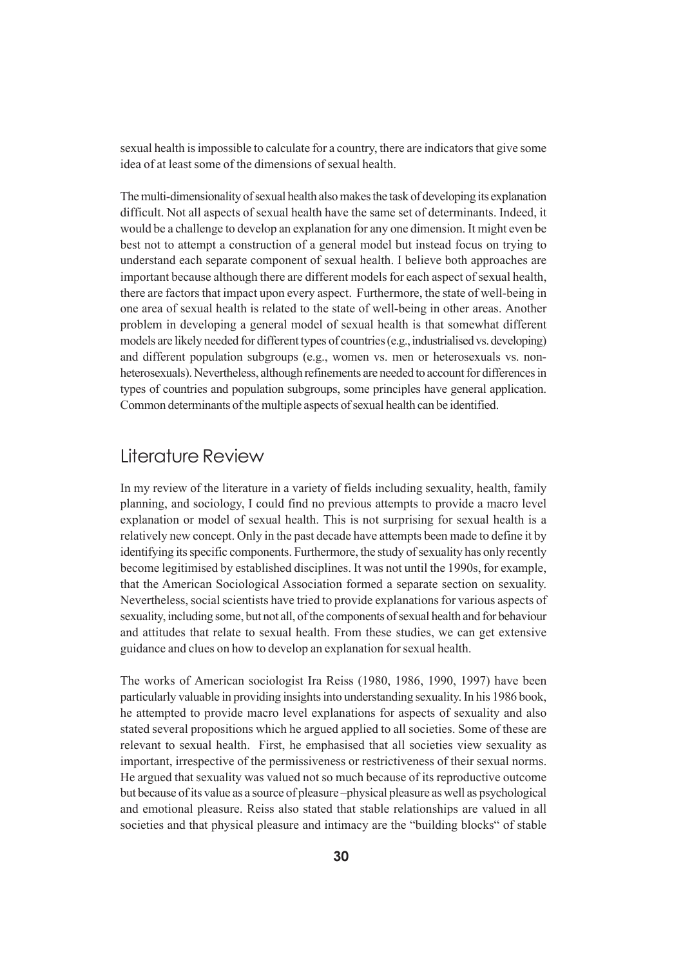sexual health is impossible to calculate for a country, there are indicators that give some idea of at least some of the dimensions of sexual health.

The multi-dimensionality of sexual health also makes the task of developing its explanation difficult. Not all aspects of sexual health have the same set of determinants. Indeed, it would be a challenge to develop an explanation for any one dimension. It might even be best not to attempt a construction of a general model but instead focus on trying to understand each separate component of sexual health. I believe both approaches are important because although there are different models for each aspect of sexual health, there are factors that impact upon every aspect. Furthermore, the state of well-being in one area of sexual health is related to the state of well-being in other areas. Another problem in developing a general model of sexual health is that somewhat different models are likely needed for different types of countries (e.g., industrialised vs. developing) and different population subgroups (e.g., women vs. men or heterosexuals vs. nonheterosexuals). Nevertheless, although refinements are needed to account for differences in types of countries and population subgroups, some principles have general application. Common determinants of the multiple aspects of sexual health can be identified.

### Literature Review

In my review of the literature in a variety of fields including sexuality, health, family planning, and sociology, I could find no previous attempts to provide a macro level explanation or model of sexual health. This is not surprising for sexual health is a relatively new concept. Only in the past decade have attempts been made to define it by identifying its specific components. Furthermore, the study of sexuality has only recently become legitimised by established disciplines. It was not until the 1990s, for example, that the American Sociological Association formed a separate section on sexuality. Nevertheless, social scientists have tried to provide explanations for various aspects of sexuality, including some, but not all, of the components of sexual health and for behaviour and attitudes that relate to sexual health. From these studies, we can get extensive guidance and clues on how to develop an explanation for sexual health.

The works of American sociologist Ira Reiss (1980, 1986, 1990, 1997) have been particularly valuable in providing insights into understanding sexuality. In his 1986 book, he attempted to provide macro level explanations for aspects of sexuality and also stated several propositions which he argued applied to all societies. Some of these are relevant to sexual health. First, he emphasised that all societies view sexuality as important, irrespective of the permissiveness or restrictiveness of their sexual norms. He argued that sexuality was valued not so much because of its reproductive outcome but because of its value as a source of pleasure –physical pleasure as well as psychological and emotional pleasure. Reiss also stated that stable relationships are valued in all societies and that physical pleasure and intimacy are the "building blocks" of stable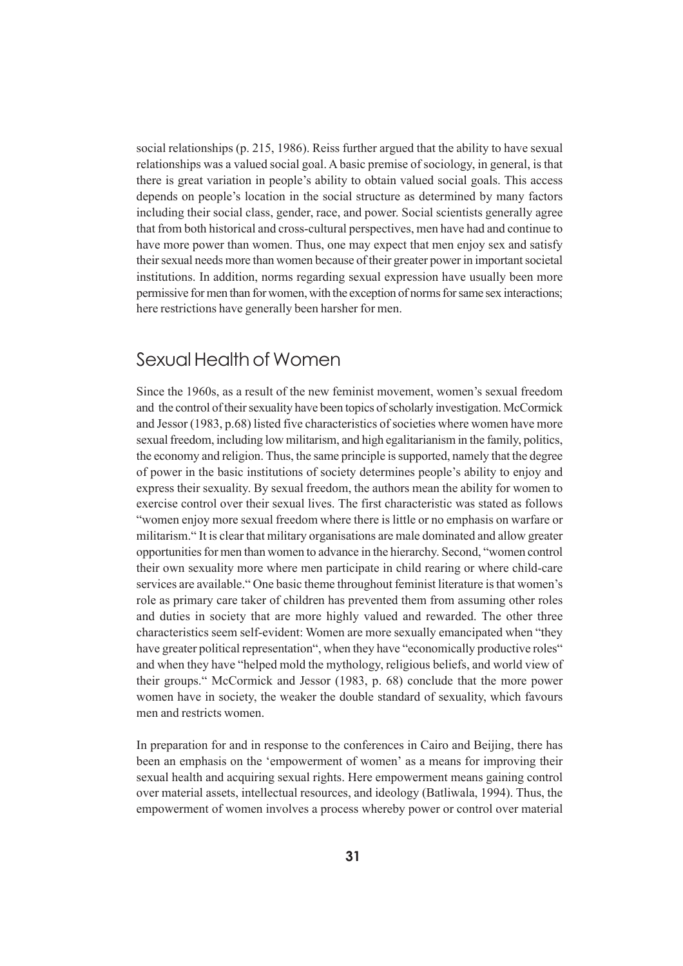social relationships (p. 215, 1986). Reiss further argued that the ability to have sexual relationships was a valued social goal. A basic premise of sociology, in general, is that there is great variation in people's ability to obtain valued social goals. This access depends on people's location in the social structure as determined by many factors including their social class, gender, race, and power. Social scientists generally agree that from both historical and cross-cultural perspectives, men have had and continue to have more power than women. Thus, one may expect that men enjoy sex and satisfy their sexual needs more than women because of their greater power in important societal institutions. In addition, norms regarding sexual expression have usually been more permissive for men than for women, with the exception of norms for same sex interactions; here restrictions have generally been harsher for men.

### Sexual Health of Women

Since the 1960s, as a result of the new feminist movement, women's sexual freedom and the control of their sexuality have been topics of scholarly investigation. McCormick and Jessor (1983, p.68) listed five characteristics of societies where women have more sexual freedom, including low militarism, and high egalitarianism in the family, politics, the economy and religion. Thus, the same principle is supported, namely that the degree of power in the basic institutions of society determines people's ability to enjoy and express their sexuality. By sexual freedom, the authors mean the ability for women to exercise control over their sexual lives. The first characteristic was stated as follows "women enjoy more sexual freedom where there is little or no emphasis on warfare or militarism." It is clear that military organisations are male dominated and allow greater opportunities for men than women to advance in the hierarchy. Second, "women control their own sexuality more where men participate in child rearing or where child-care services are available." One basic theme throughout feminist literature is that women's role as primary care taker of children has prevented them from assuming other roles and duties in society that are more highly valued and rewarded. The other three characteristics seem self-evident: Women are more sexually emancipated when "they have greater political representation", when they have "economically productive roles" and when they have "helped mold the mythology, religious beliefs, and world view of their groups." McCormick and Jessor (1983, p. 68) conclude that the more power women have in society, the weaker the double standard of sexuality, which favours men and restricts women.

In preparation for and in response to the conferences in Cairo and Beijing, there has been an emphasis on the 'empowerment of women' as a means for improving their sexual health and acquiring sexual rights. Here empowerment means gaining control over material assets, intellectual resources, and ideology (Batliwala, 1994). Thus, the empowerment of women involves a process whereby power or control over material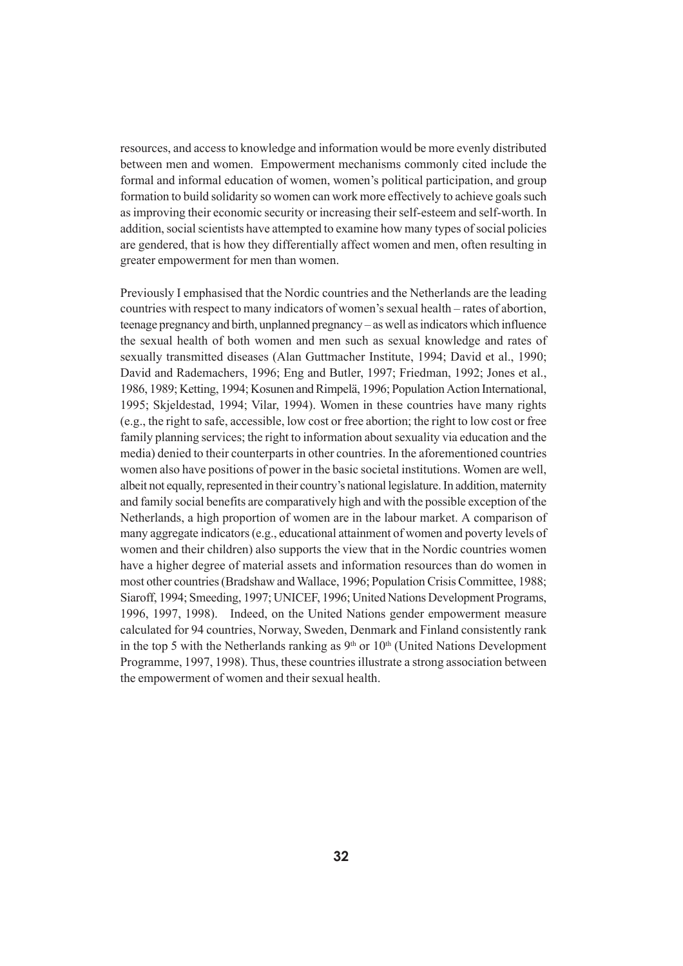resources, and access to knowledge and information would be more evenly distributed between men and women. Empowerment mechanisms commonly cited include the formal and informal education of women, women's political participation, and group formation to build solidarity so women can work more effectively to achieve goals such as improving their economic security or increasing their self-esteem and self-worth. In addition, social scientists have attempted to examine how many types of social policies are gendered, that is how they differentially affect women and men, often resulting in greater empowerment for men than women.

Previously I emphasised that the Nordic countries and the Netherlands are the leading countries with respect to many indicators of women's sexual health – rates of abortion, teenage pregnancy and birth, unplanned pregnancy – as well as indicators which influence the sexual health of both women and men such as sexual knowledge and rates of sexually transmitted diseases (Alan Guttmacher Institute, 1994; David et al., 1990; David and Rademachers, 1996; Eng and Butler, 1997; Friedman, 1992; Jones et al., 1986, 1989; Ketting, 1994; Kosunen and Rimpelä, 1996; Population Action International, 1995; Skjeldestad, 1994; Vilar, 1994). Women in these countries have many rights (e.g., the right to safe, accessible, low cost or free abortion; the right to low cost or free family planning services; the right to information about sexuality via education and the media) denied to their counterparts in other countries. In the aforementioned countries women also have positions of power in the basic societal institutions. Women are well, albeit not equally, represented in their country's national legislature. In addition, maternity and family social benefits are comparatively high and with the possible exception of the Netherlands, a high proportion of women are in the labour market. A comparison of many aggregate indicators (e.g., educational attainment of women and poverty levels of women and their children) also supports the view that in the Nordic countries women have a higher degree of material assets and information resources than do women in most other countries (Bradshaw and Wallace, 1996; Population Crisis Committee, 1988; Siaroff, 1994; Smeeding, 1997; UNICEF, 1996; United Nations Development Programs, 1996, 1997, 1998). Indeed, on the United Nations gender empowerment measure calculated for 94 countries, Norway, Sweden, Denmark and Finland consistently rank in the top 5 with the Netherlands ranking as  $9<sup>th</sup>$  or  $10<sup>th</sup>$  (United Nations Development Programme, 1997, 1998). Thus, these countries illustrate a strong association between the empowerment of women and their sexual health.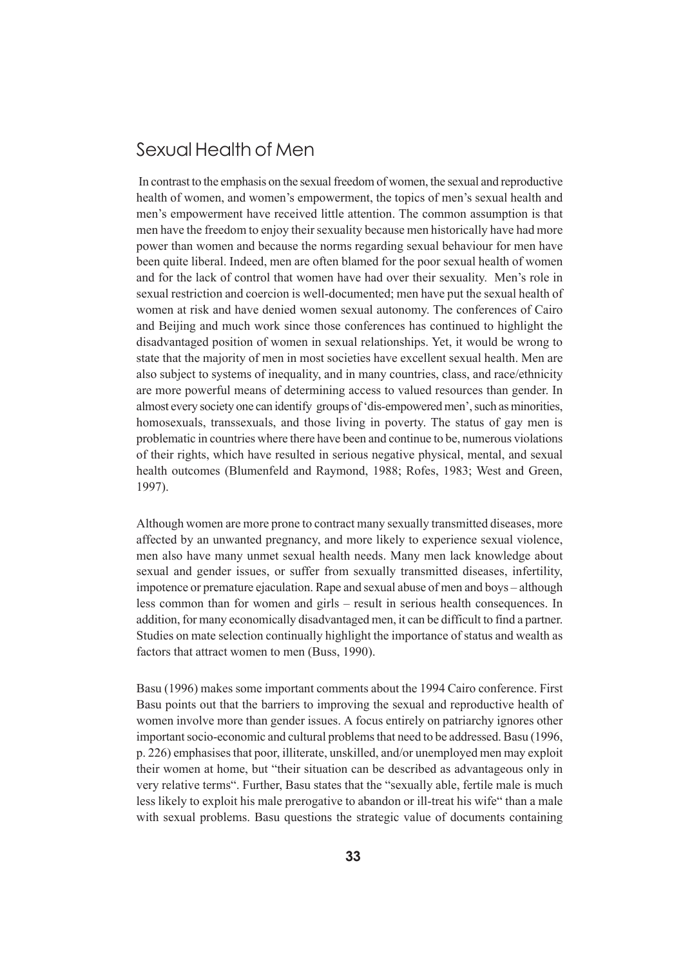# Sexual Health of Men

 In contrast to the emphasis on the sexual freedom of women, the sexual and reproductive health of women, and women's empowerment, the topics of men's sexual health and men's empowerment have received little attention. The common assumption is that men have the freedom to enjoy their sexuality because men historically have had more power than women and because the norms regarding sexual behaviour for men have been quite liberal. Indeed, men are often blamed for the poor sexual health of women and for the lack of control that women have had over their sexuality. Men's role in sexual restriction and coercion is well-documented; men have put the sexual health of women at risk and have denied women sexual autonomy. The conferences of Cairo and Beijing and much work since those conferences has continued to highlight the disadvantaged position of women in sexual relationships. Yet, it would be wrong to state that the majority of men in most societies have excellent sexual health. Men are also subject to systems of inequality, and in many countries, class, and race/ethnicity are more powerful means of determining access to valued resources than gender. In almost every society one can identify groups of 'dis-empowered men', such as minorities, homosexuals, transsexuals, and those living in poverty. The status of gay men is problematic in countries where there have been and continue to be, numerous violations of their rights, which have resulted in serious negative physical, mental, and sexual health outcomes (Blumenfeld and Raymond, 1988; Rofes, 1983; West and Green, 1997).

Although women are more prone to contract many sexually transmitted diseases, more affected by an unwanted pregnancy, and more likely to experience sexual violence, men also have many unmet sexual health needs. Many men lack knowledge about sexual and gender issues, or suffer from sexually transmitted diseases, infertility, impotence or premature ejaculation. Rape and sexual abuse of men and boys – although less common than for women and girls – result in serious health consequences. In addition, for many economically disadvantaged men, it can be difficult to find a partner. Studies on mate selection continually highlight the importance of status and wealth as factors that attract women to men (Buss, 1990).

Basu (1996) makes some important comments about the 1994 Cairo conference. First Basu points out that the barriers to improving the sexual and reproductive health of women involve more than gender issues. A focus entirely on patriarchy ignores other important socio-economic and cultural problems that need to be addressed. Basu (1996, p. 226) emphasises that poor, illiterate, unskilled, and/or unemployed men may exploit their women at home, but "their situation can be described as advantageous only in very relative terms". Further, Basu states that the "sexually able, fertile male is much less likely to exploit his male prerogative to abandon or ill-treat his wife" than a male with sexual problems. Basu questions the strategic value of documents containing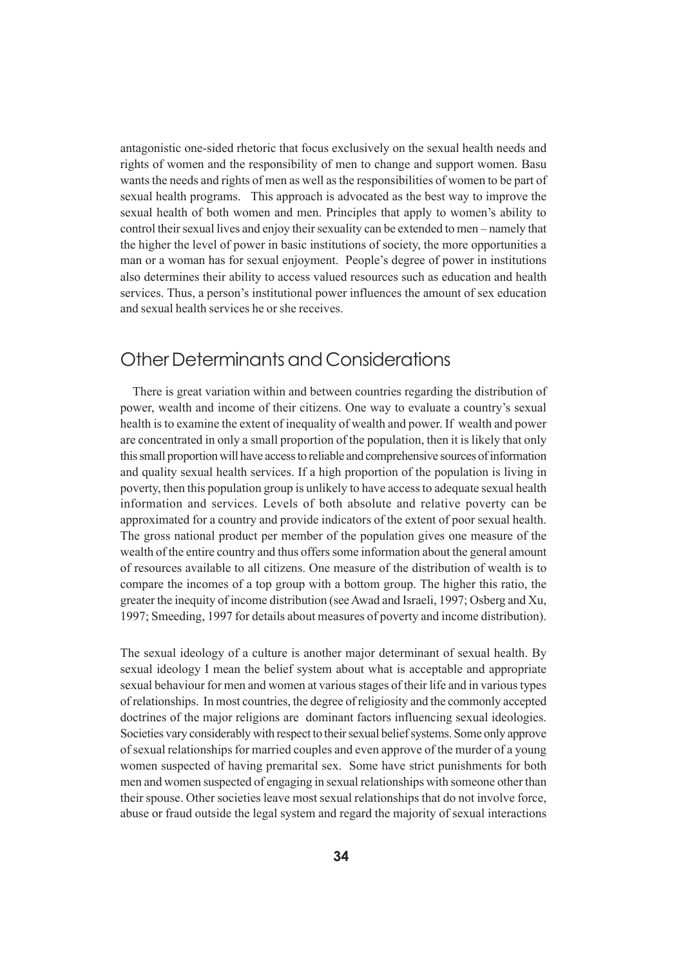antagonistic one-sided rhetoric that focus exclusively on the sexual health needs and rights of women and the responsibility of men to change and support women. Basu wants the needs and rights of men as well as the responsibilities of women to be part of sexual health programs. This approach is advocated as the best way to improve the sexual health of both women and men. Principles that apply to women's ability to control their sexual lives and enjoy their sexuality can be extended to men – namely that the higher the level of power in basic institutions of society, the more opportunities a man or a woman has for sexual enjoyment. People's degree of power in institutions also determines their ability to access valued resources such as education and health services. Thus, a person's institutional power influences the amount of sex education and sexual health services he or she receives.

# Other Determinants and Considerations

 There is great variation within and between countries regarding the distribution of power, wealth and income of their citizens. One way to evaluate a country's sexual health is to examine the extent of inequality of wealth and power. If wealth and power are concentrated in only a small proportion of the population, then it is likely that only this small proportion will have access to reliable and comprehensive sources of information and quality sexual health services. If a high proportion of the population is living in poverty, then this population group is unlikely to have access to adequate sexual health information and services. Levels of both absolute and relative poverty can be approximated for a country and provide indicators of the extent of poor sexual health. The gross national product per member of the population gives one measure of the wealth of the entire country and thus offers some information about the general amount of resources available to all citizens. One measure of the distribution of wealth is to compare the incomes of a top group with a bottom group. The higher this ratio, the greater the inequity of income distribution (see Awad and Israeli, 1997; Osberg and Xu, 1997; Smeeding, 1997 for details about measures of poverty and income distribution).

The sexual ideology of a culture is another major determinant of sexual health. By sexual ideology I mean the belief system about what is acceptable and appropriate sexual behaviour for men and women at various stages of their life and in various types of relationships. In most countries, the degree of religiosity and the commonly accepted doctrines of the major religions are dominant factors influencing sexual ideologies. Societies vary considerably with respect to their sexual belief systems. Some only approve of sexual relationships for married couples and even approve of the murder of a young women suspected of having premarital sex. Some have strict punishments for both men and women suspected of engaging in sexual relationships with someone other than their spouse. Other societies leave most sexual relationships that do not involve force, abuse or fraud outside the legal system and regard the majority of sexual interactions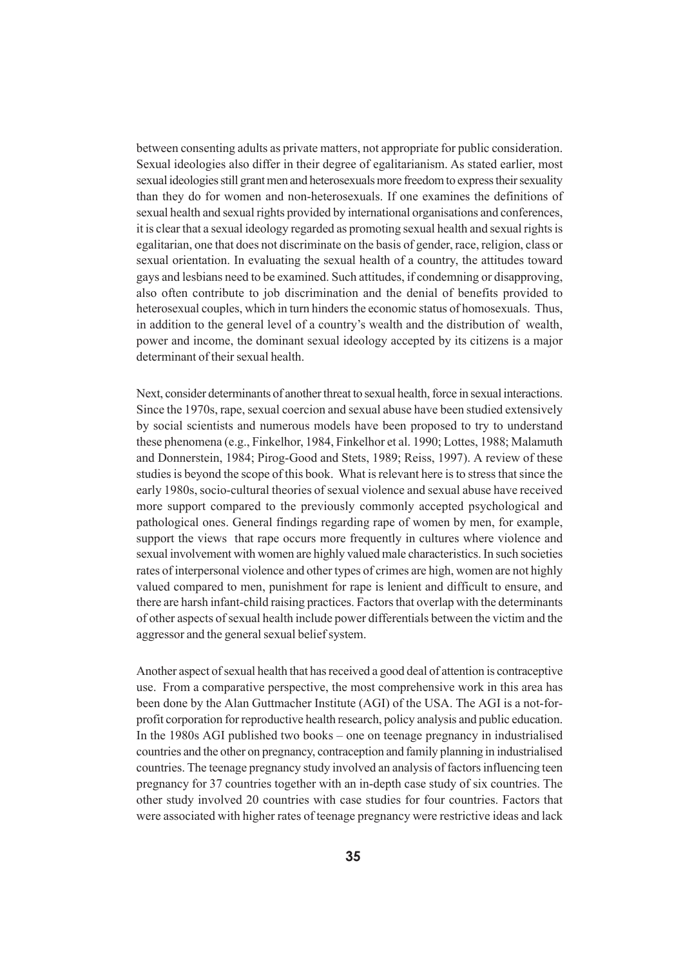between consenting adults as private matters, not appropriate for public consideration. Sexual ideologies also differ in their degree of egalitarianism. As stated earlier, most sexual ideologies still grant men and heterosexuals more freedom to express their sexuality than they do for women and non-heterosexuals. If one examines the definitions of sexual health and sexual rights provided by international organisations and conferences, it is clear that a sexual ideology regarded as promoting sexual health and sexual rights is egalitarian, one that does not discriminate on the basis of gender, race, religion, class or sexual orientation. In evaluating the sexual health of a country, the attitudes toward gays and lesbians need to be examined. Such attitudes, if condemning or disapproving, also often contribute to job discrimination and the denial of benefits provided to heterosexual couples, which in turn hinders the economic status of homosexuals. Thus, in addition to the general level of a country's wealth and the distribution of wealth, power and income, the dominant sexual ideology accepted by its citizens is a major determinant of their sexual health.

Next, consider determinants of another threat to sexual health, force in sexual interactions. Since the 1970s, rape, sexual coercion and sexual abuse have been studied extensively by social scientists and numerous models have been proposed to try to understand these phenomena (e.g., Finkelhor, 1984, Finkelhor et al. 1990; Lottes, 1988; Malamuth and Donnerstein, 1984; Pirog-Good and Stets, 1989; Reiss, 1997). A review of these studies is beyond the scope of this book. What is relevant here is to stress that since the early 1980s, socio-cultural theories of sexual violence and sexual abuse have received more support compared to the previously commonly accepted psychological and pathological ones. General findings regarding rape of women by men, for example, support the views that rape occurs more frequently in cultures where violence and sexual involvement with women are highly valued male characteristics. In such societies rates of interpersonal violence and other types of crimes are high, women are not highly valued compared to men, punishment for rape is lenient and difficult to ensure, and there are harsh infant-child raising practices. Factors that overlap with the determinants of other aspects of sexual health include power differentials between the victim and the aggressor and the general sexual belief system.

Another aspect of sexual health that has received a good deal of attention is contraceptive use. From a comparative perspective, the most comprehensive work in this area has been done by the Alan Guttmacher Institute (AGI) of the USA. The AGI is a not-forprofit corporation for reproductive health research, policy analysis and public education. In the 1980s AGI published two books – one on teenage pregnancy in industrialised countries and the other on pregnancy, contraception and family planning in industrialised countries. The teenage pregnancy study involved an analysis of factors influencing teen pregnancy for 37 countries together with an in-depth case study of six countries. The other study involved 20 countries with case studies for four countries. Factors that were associated with higher rates of teenage pregnancy were restrictive ideas and lack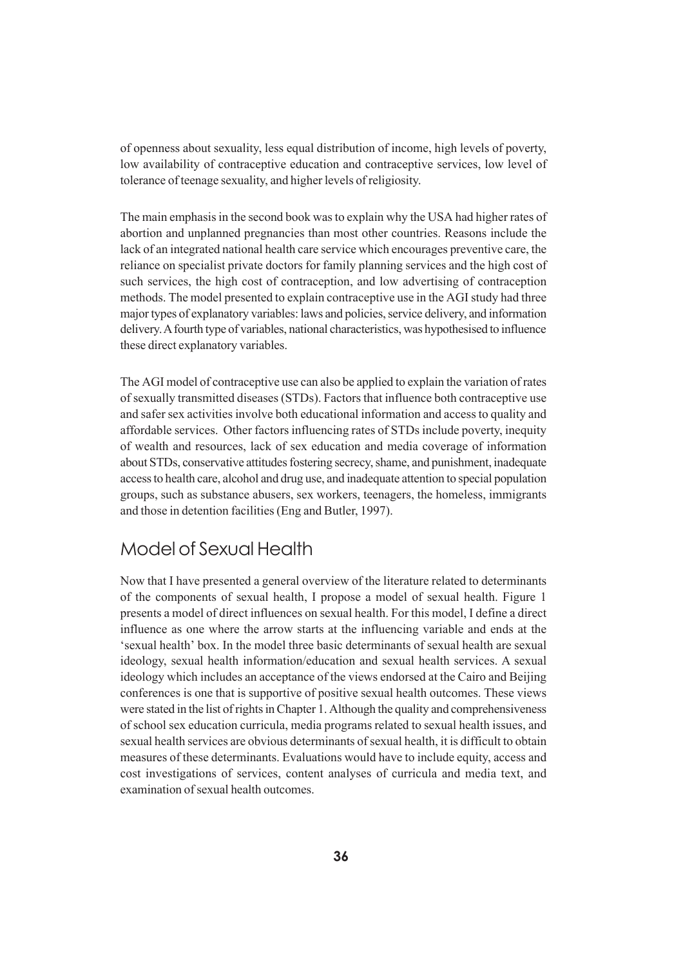of openness about sexuality, less equal distribution of income, high levels of poverty, low availability of contraceptive education and contraceptive services, low level of tolerance of teenage sexuality, and higher levels of religiosity.

The main emphasis in the second book was to explain why the USA had higher rates of abortion and unplanned pregnancies than most other countries. Reasons include the lack of an integrated national health care service which encourages preventive care, the reliance on specialist private doctors for family planning services and the high cost of such services, the high cost of contraception, and low advertising of contraception methods. The model presented to explain contraceptive use in the AGI study had three major types of explanatory variables: laws and policies, service delivery, and information delivery. A fourth type of variables, national characteristics, was hypothesised to influence these direct explanatory variables.

The AGI model of contraceptive use can also be applied to explain the variation of rates of sexually transmitted diseases (STDs). Factors that influence both contraceptive use and safer sex activities involve both educational information and access to quality and affordable services. Other factors influencing rates of STDs include poverty, inequity of wealth and resources, lack of sex education and media coverage of information about STDs, conservative attitudes fostering secrecy, shame, and punishment, inadequate access to health care, alcohol and drug use, and inadequate attention to special population groups, such as substance abusers, sex workers, teenagers, the homeless, immigrants and those in detention facilities (Eng and Butler, 1997).

# Model of Sexual Health

Now that I have presented a general overview of the literature related to determinants of the components of sexual health, I propose a model of sexual health. Figure 1 presents a model of direct influences on sexual health. For this model, I define a direct influence as one where the arrow starts at the influencing variable and ends at the 'sexual health' box. In the model three basic determinants of sexual health are sexual ideology, sexual health information/education and sexual health services. A sexual ideology which includes an acceptance of the views endorsed at the Cairo and Beijing conferences is one that is supportive of positive sexual health outcomes. These views were stated in the list of rights in Chapter 1. Although the quality and comprehensiveness of school sex education curricula, media programs related to sexual health issues, and sexual health services are obvious determinants of sexual health, it is difficult to obtain measures of these determinants. Evaluations would have to include equity, access and cost investigations of services, content analyses of curricula and media text, and examination of sexual health outcomes.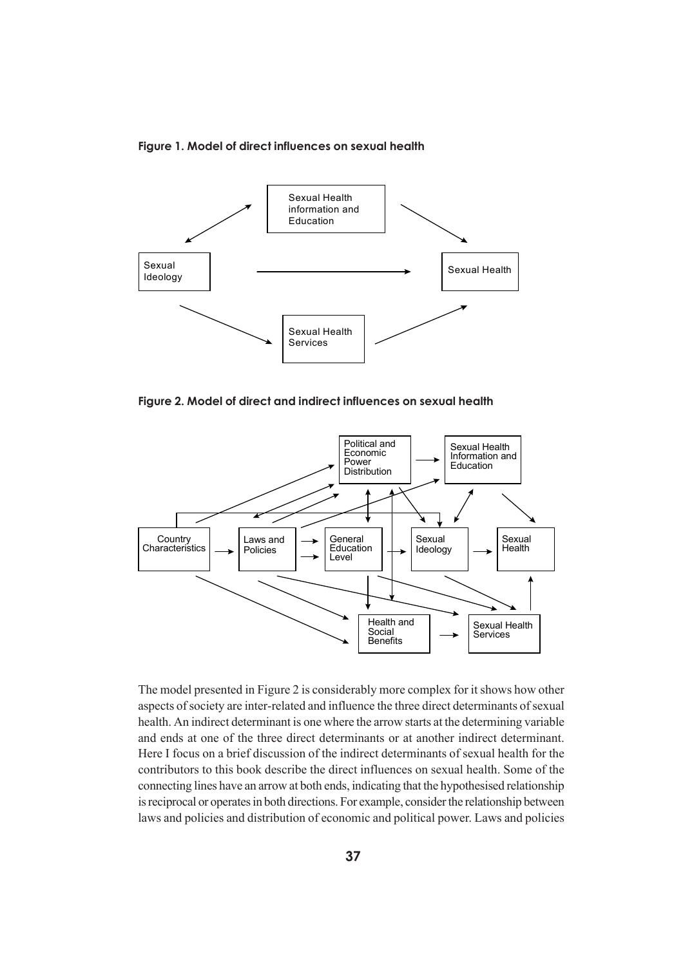#### **Figure 1. Model of direct influences on sexual health**



**Figure 2. Model of direct and indirect influences on sexual health**



The model presented in Figure 2 is considerably more complex for it shows how other aspects of society are inter-related and influence the three direct determinants of sexual health. An indirect determinant is one where the arrow starts at the determining variable and ends at one of the three direct determinants or at another indirect determinant. Here I focus on a brief discussion of the indirect determinants of sexual health for the contributors to this book describe the direct influences on sexual health. Some of the connecting lines have an arrow at both ends, indicating that the hypothesised relationship is reciprocal or operates in both directions. For example, consider the relationship between laws and policies and distribution of economic and political power. Laws and policies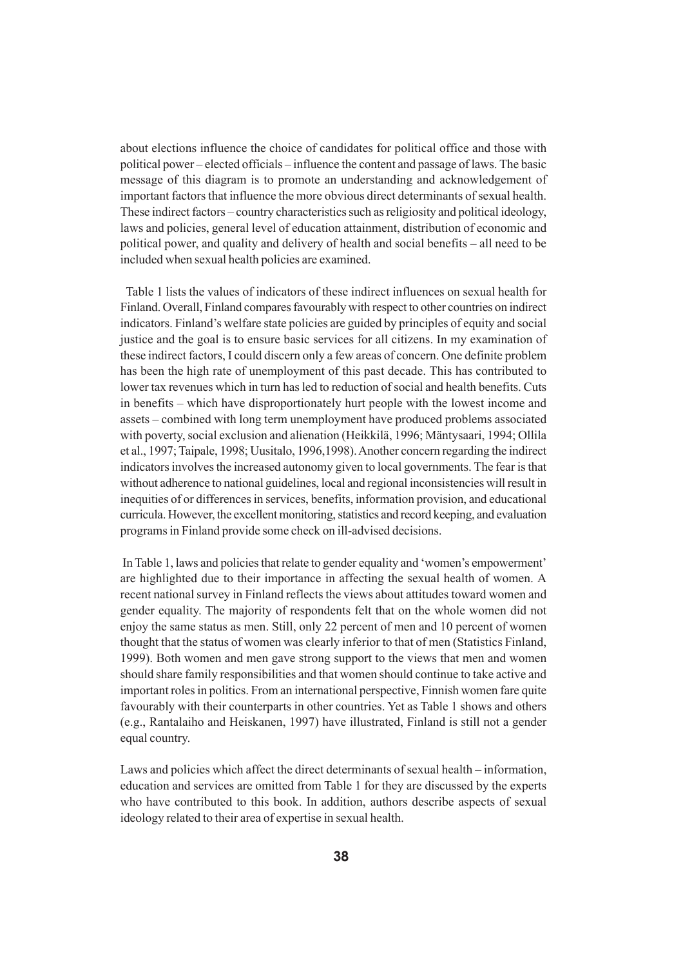about elections influence the choice of candidates for political office and those with political power – elected officials – influence the content and passage of laws. The basic message of this diagram is to promote an understanding and acknowledgement of important factors that influence the more obvious direct determinants of sexual health. These indirect factors – country characteristics such as religiosity and political ideology, laws and policies, general level of education attainment, distribution of economic and political power, and quality and delivery of health and social benefits – all need to be included when sexual health policies are examined.

 Table 1 lists the values of indicators of these indirect influences on sexual health for Finland. Overall, Finland compares favourably with respect to other countries on indirect indicators. Finland's welfare state policies are guided by principles of equity and social justice and the goal is to ensure basic services for all citizens. In my examination of these indirect factors, I could discern only a few areas of concern. One definite problem has been the high rate of unemployment of this past decade. This has contributed to lower tax revenues which in turn has led to reduction of social and health benefits. Cuts in benefits – which have disproportionately hurt people with the lowest income and assets – combined with long term unemployment have produced problems associated with poverty, social exclusion and alienation (Heikkilä, 1996; Mäntysaari, 1994; Ollila et al., 1997; Taipale, 1998; Uusitalo, 1996,1998). Another concern regarding the indirect indicators involves the increased autonomy given to local governments. The fear is that without adherence to national guidelines, local and regional inconsistencies will result in inequities of or differences in services, benefits, information provision, and educational curricula. However, the excellent monitoring, statistics and record keeping, and evaluation programs in Finland provide some check on ill-advised decisions.

 In Table 1, laws and policies that relate to gender equality and 'women's empowerment' are highlighted due to their importance in affecting the sexual health of women. A recent national survey in Finland reflects the views about attitudes toward women and gender equality. The majority of respondents felt that on the whole women did not enjoy the same status as men. Still, only 22 percent of men and 10 percent of women thought that the status of women was clearly inferior to that of men (Statistics Finland, 1999). Both women and men gave strong support to the views that men and women should share family responsibilities and that women should continue to take active and important roles in politics. From an international perspective, Finnish women fare quite favourably with their counterparts in other countries. Yet as Table 1 shows and others (e.g., Rantalaiho and Heiskanen, 1997) have illustrated, Finland is still not a gender equal country.

Laws and policies which affect the direct determinants of sexual health – information, education and services are omitted from Table 1 for they are discussed by the experts who have contributed to this book. In addition, authors describe aspects of sexual ideology related to their area of expertise in sexual health.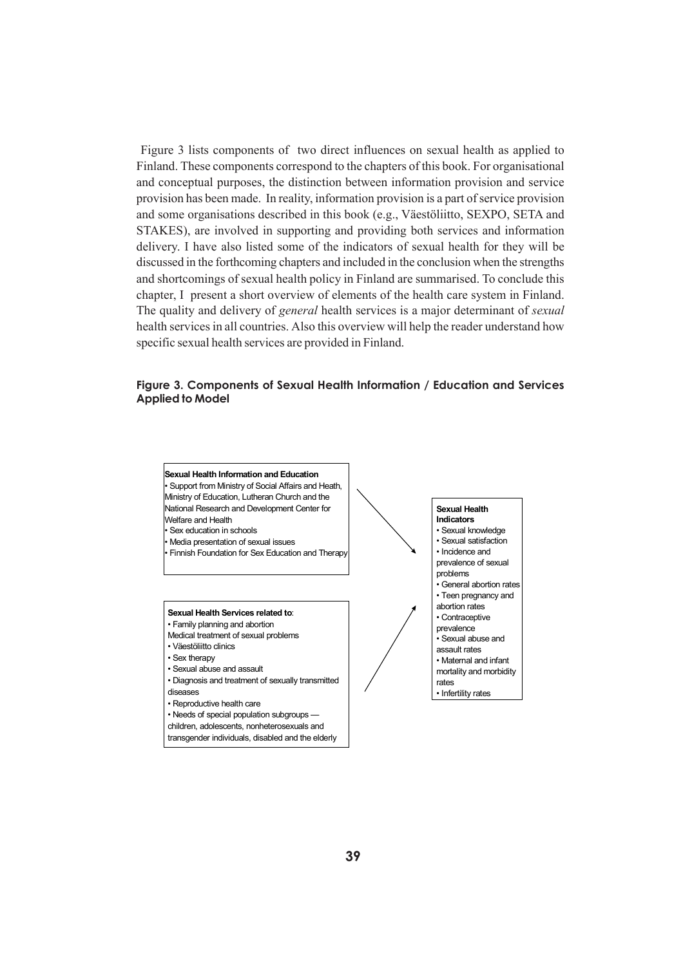Figure 3 lists components of two direct influences on sexual health as applied to Finland. These components correspond to the chapters of this book. For organisational and conceptual purposes, the distinction between information provision and service provision has been made. In reality, information provision is a part of service provision and some organisations described in this book (e.g., Väestöliitto, SEXPO, SETA and STAKES), are involved in supporting and providing both services and information delivery. I have also listed some of the indicators of sexual health for they will be discussed in the forthcoming chapters and included in the conclusion when the strengths and shortcomings of sexual health policy in Finland are summarised. To conclude this chapter, I present a short overview of elements of the health care system in Finland. The quality and delivery of *general* health services is a major determinant of *sexual* health services in all countries. Also this overview will help the reader understand how specific sexual health services are provided in Finland.

#### **Figure 3. Components of Sexual Health Information / Education and Services Applied to Model**



transgender individuals, disabled and the elderly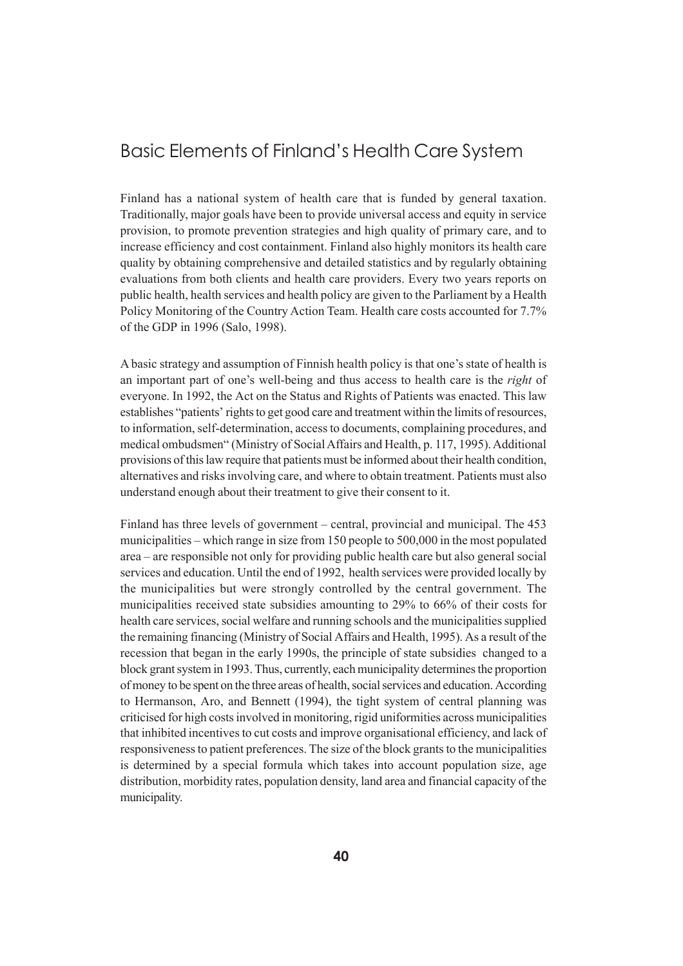# Basic Elements of Finland's Health Care System

Finland has a national system of health care that is funded by general taxation. Traditionally, major goals have been to provide universal access and equity in service provision, to promote prevention strategies and high quality of primary care, and to increase efficiency and cost containment. Finland also highly monitors its health care quality by obtaining comprehensive and detailed statistics and by regularly obtaining evaluations from both clients and health care providers. Every two years reports on public health, health services and health policy are given to the Parliament by a Health Policy Monitoring of the Country Action Team. Health care costs accounted for 7.7% of the GDP in 1996 (Salo, 1998).

A basic strategy and assumption of Finnish health policy is that one's state of health is an important part of one's well-being and thus access to health care is the *right* of everyone. In 1992, the Act on the Status and Rights of Patients was enacted. This law establishes "patients' rights to get good care and treatment within the limits of resources, to information, self-determination, access to documents, complaining procedures, and medical ombudsmen" (Ministry of Social Affairs and Health, p. 117, 1995). Additional provisions of this law require that patients must be informed about their health condition, alternatives and risks involving care, and where to obtain treatment. Patients must also understand enough about their treatment to give their consent to it.

Finland has three levels of government – central, provincial and municipal. The 453 municipalities – which range in size from 150 people to 500,000 in the most populated area – are responsible not only for providing public health care but also general social services and education. Until the end of 1992, health services were provided locally by the municipalities but were strongly controlled by the central government. The municipalities received state subsidies amounting to 29% to 66% of their costs for health care services, social welfare and running schools and the municipalities supplied the remaining financing (Ministry of Social Affairs and Health, 1995). As a result of the recession that began in the early 1990s, the principle of state subsidies changed to a block grant system in 1993. Thus, currently, each municipality determines the proportion of money to be spent on the three areas of health, social services and education. According to Hermanson, Aro, and Bennett (1994), the tight system of central planning was criticised for high costs involved in monitoring, rigid uniformities across municipalities that inhibited incentives to cut costs and improve organisational efficiency, and lack of responsiveness to patient preferences. The size of the block grants to the municipalities is determined by a special formula which takes into account population size, age distribution, morbidity rates, population density, land area and financial capacity of the municipality.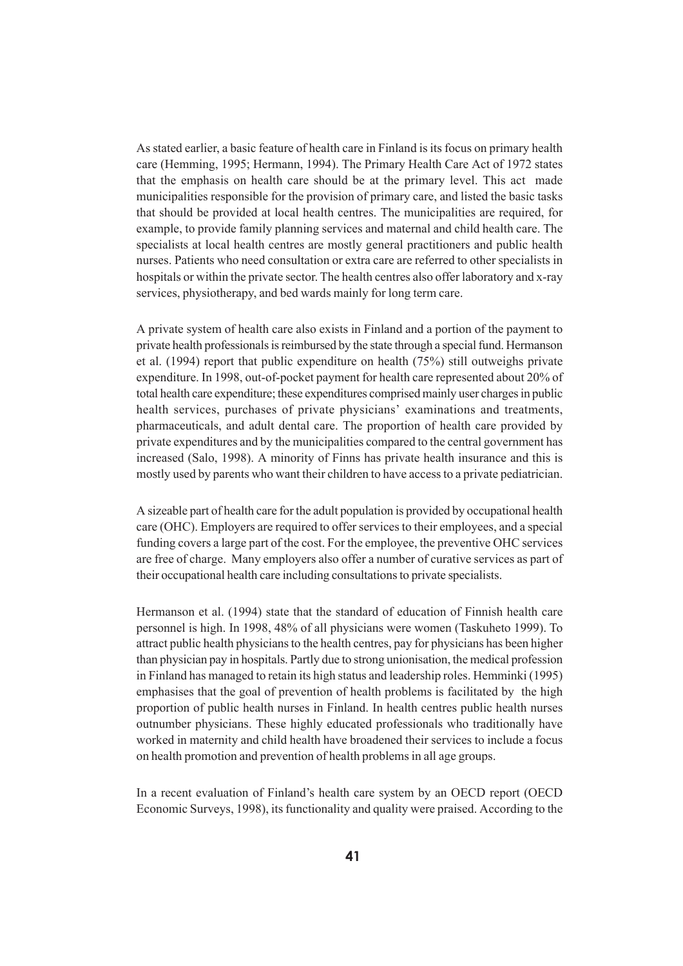As stated earlier, a basic feature of health care in Finland is its focus on primary health care (Hemming, 1995; Hermann, 1994). The Primary Health Care Act of 1972 states that the emphasis on health care should be at the primary level. This act made municipalities responsible for the provision of primary care, and listed the basic tasks that should be provided at local health centres. The municipalities are required, for example, to provide family planning services and maternal and child health care. The specialists at local health centres are mostly general practitioners and public health nurses. Patients who need consultation or extra care are referred to other specialists in hospitals or within the private sector. The health centres also offer laboratory and x-ray services, physiotherapy, and bed wards mainly for long term care.

A private system of health care also exists in Finland and a portion of the payment to private health professionals is reimbursed by the state through a special fund. Hermanson et al. (1994) report that public expenditure on health (75%) still outweighs private expenditure. In 1998, out-of-pocket payment for health care represented about 20% of total health care expenditure; these expenditures comprised mainly user charges in public health services, purchases of private physicians' examinations and treatments, pharmaceuticals, and adult dental care. The proportion of health care provided by private expenditures and by the municipalities compared to the central government has increased (Salo, 1998). A minority of Finns has private health insurance and this is mostly used by parents who want their children to have access to a private pediatrician.

A sizeable part of health care for the adult population is provided by occupational health care (OHC). Employers are required to offer services to their employees, and a special funding covers a large part of the cost. For the employee, the preventive OHC services are free of charge. Many employers also offer a number of curative services as part of their occupational health care including consultations to private specialists.

Hermanson et al. (1994) state that the standard of education of Finnish health care personnel is high. In 1998, 48% of all physicians were women (Taskuheto 1999). To attract public health physicians to the health centres, pay for physicians has been higher than physician pay in hospitals. Partly due to strong unionisation, the medical profession in Finland has managed to retain its high status and leadership roles. Hemminki (1995) emphasises that the goal of prevention of health problems is facilitated by the high proportion of public health nurses in Finland. In health centres public health nurses outnumber physicians. These highly educated professionals who traditionally have worked in maternity and child health have broadened their services to include a focus on health promotion and prevention of health problems in all age groups.

In a recent evaluation of Finland's health care system by an OECD report (OECD Economic Surveys, 1998), its functionality and quality were praised. According to the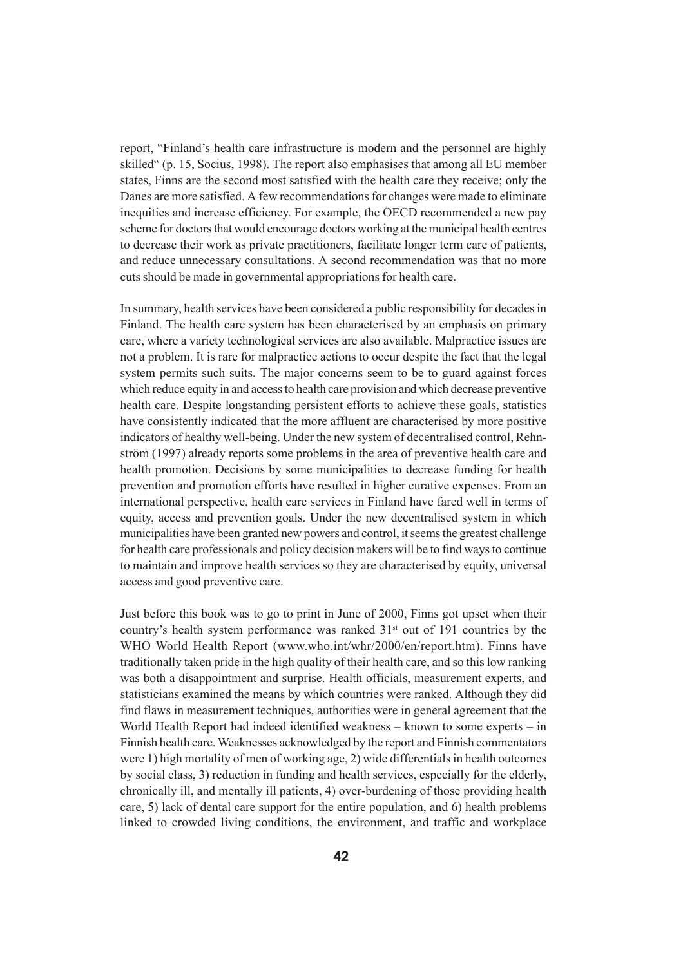report, "Finland's health care infrastructure is modern and the personnel are highly skilled" (p. 15, Socius, 1998). The report also emphasises that among all EU member states, Finns are the second most satisfied with the health care they receive; only the Danes are more satisfied. A few recommendations for changes were made to eliminate inequities and increase efficiency. For example, the OECD recommended a new pay scheme for doctors that would encourage doctors working at the municipal health centres to decrease their work as private practitioners, facilitate longer term care of patients, and reduce unnecessary consultations. A second recommendation was that no more cuts should be made in governmental appropriations for health care.

In summary, health services have been considered a public responsibility for decades in Finland. The health care system has been characterised by an emphasis on primary care, where a variety technological services are also available. Malpractice issues are not a problem. It is rare for malpractice actions to occur despite the fact that the legal system permits such suits. The major concerns seem to be to guard against forces which reduce equity in and access to health care provision and which decrease preventive health care. Despite longstanding persistent efforts to achieve these goals, statistics have consistently indicated that the more affluent are characterised by more positive indicators of healthy well-being. Under the new system of decentralised control, Rehnström (1997) already reports some problems in the area of preventive health care and health promotion. Decisions by some municipalities to decrease funding for health prevention and promotion efforts have resulted in higher curative expenses. From an international perspective, health care services in Finland have fared well in terms of equity, access and prevention goals. Under the new decentralised system in which municipalities have been granted new powers and control, it seems the greatest challenge for health care professionals and policy decision makers will be to find ways to continue to maintain and improve health services so they are characterised by equity, universal access and good preventive care.

Just before this book was to go to print in June of 2000, Finns got upset when their country's health system performance was ranked 31<sup>st</sup> out of 191 countries by the WHO World Health Report (www.who.int/whr/2000/en/report.htm). Finns have traditionally taken pride in the high quality of their health care, and so this low ranking was both a disappointment and surprise. Health officials, measurement experts, and statisticians examined the means by which countries were ranked. Although they did find flaws in measurement techniques, authorities were in general agreement that the World Health Report had indeed identified weakness – known to some experts – in Finnish health care. Weaknesses acknowledged by the report and Finnish commentators were 1) high mortality of men of working age, 2) wide differentials in health outcomes by social class, 3) reduction in funding and health services, especially for the elderly, chronically ill, and mentally ill patients, 4) over-burdening of those providing health care, 5) lack of dental care support for the entire population, and 6) health problems linked to crowded living conditions, the environment, and traffic and workplace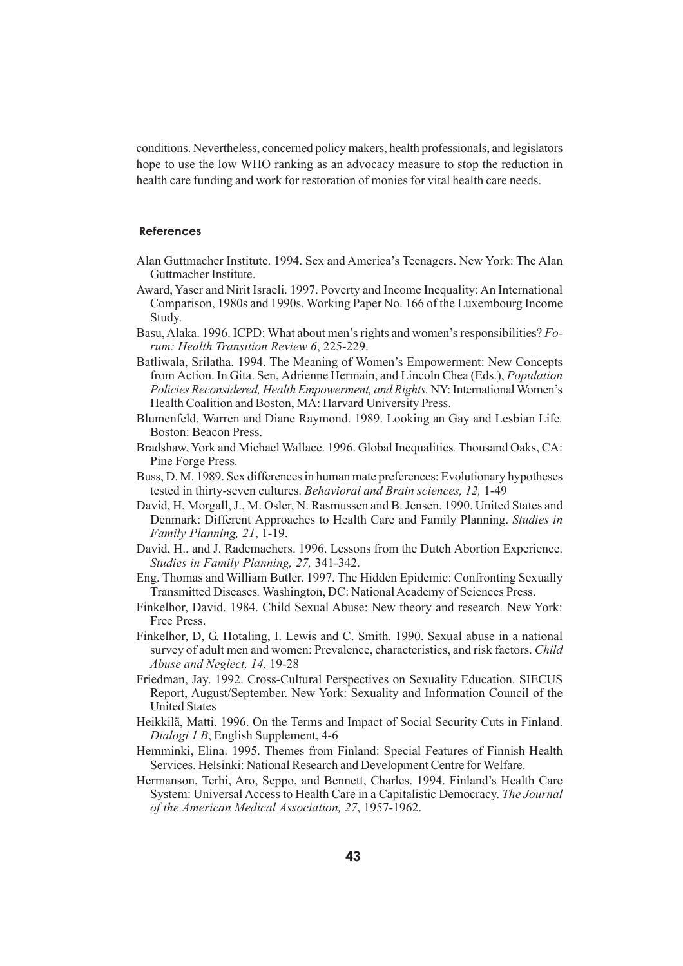conditions. Nevertheless, concerned policy makers, health professionals, and legislators hope to use the low WHO ranking as an advocacy measure to stop the reduction in health care funding and work for restoration of monies for vital health care needs.

#### **References**

- Alan Guttmacher Institute. 1994. Sex and America's Teenagers. New York: The Alan Guttmacher Institute.
- Award, Yaser and Nirit Israeli. 1997. Poverty and Income Inequality: An International Comparison, 1980s and 1990s. Working Paper No. 166 of the Luxembourg Income Study.
- Basu, Alaka. 1996. ICPD: What about men's rights and women's responsibilities? *Forum: Health Transition Review 6*, 225-229.
- Batliwala, Srilatha. 1994. The Meaning of Women's Empowerment: New Concepts from Action. In Gita. Sen, Adrienne Hermain, and Lincoln Chea (Eds.), *Population Policies Reconsidered, Health Empowerment, and Rights.* NY: International Women's Health Coalition and Boston, MA: Harvard University Press.
- Blumenfeld, Warren and Diane Raymond. 1989. Looking an Gay and Lesbian Life*.* Boston: Beacon Press.
- Bradshaw, York and Michael Wallace. 1996. Global Inequalities*.* Thousand Oaks, CA: Pine Forge Press.
- Buss, D. M. 1989. Sex differences in human mate preferences: Evolutionary hypotheses tested in thirty-seven cultures. *Behavioral and Brain sciences, 12,* 1-49
- David, H, Morgall, J., M. Osler, N. Rasmussen and B. Jensen. 1990. United States and Denmark: Different Approaches to Health Care and Family Planning. *Studies in Family Planning, 21*, 1-19.
- David, H., and J. Rademachers. 1996. Lessons from the Dutch Abortion Experience. *Studies in Family Planning, 27,* 341-342.
- Eng, Thomas and William Butler. 1997. The Hidden Epidemic: Confronting Sexually Transmitted Diseases*.* Washington, DC: National Academy of Sciences Press.
- Finkelhor, David. 1984. Child Sexual Abuse: New theory and research*.* New York: Free Press.
- Finkelhor, D, G. Hotaling, I. Lewis and C. Smith. 1990. Sexual abuse in a national survey of adult men and women: Prevalence, characteristics, and risk factors. *Child Abuse and Neglect, 14,* 19-28
- Friedman, Jay. 1992. Cross-Cultural Perspectives on Sexuality Education. SIECUS Report, August/September. New York: Sexuality and Information Council of the United States
- Heikkilä, Matti. 1996. On the Terms and Impact of Social Security Cuts in Finland. *Dialogi 1 B*, English Supplement, 4-6
- Hemminki, Elina. 1995. Themes from Finland: Special Features of Finnish Health Services. Helsinki: National Research and Development Centre for Welfare.
- Hermanson, Terhi, Aro, Seppo, and Bennett, Charles. 1994. Finland's Health Care System: Universal Access to Health Care in a Capitalistic Democracy. *The Journal of the American Medical Association, 27*, 1957-1962.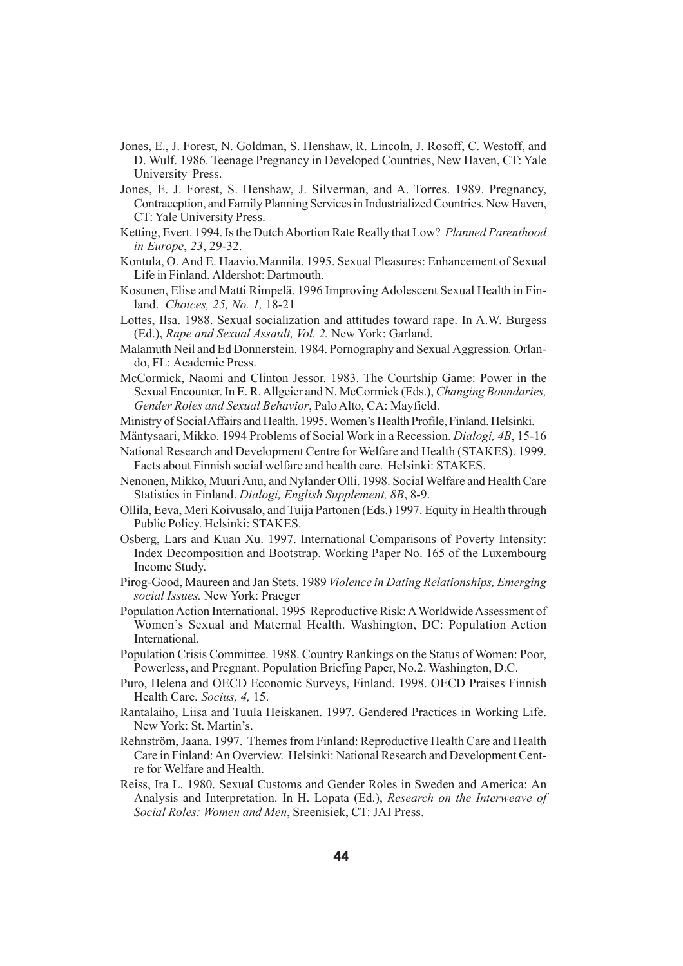- Jones, E., J. Forest, N. Goldman, S. Henshaw, R. Lincoln, J. Rosoff, C. Westoff, and D. Wulf. 1986. Teenage Pregnancy in Developed Countries, New Haven, CT: Yale University Press.
- Jones, E. J. Forest, S. Henshaw, J. Silverman, and A. Torres. 1989. Pregnancy, Contraception, and Family Planning Services in Industrialized Countries. New Haven, CT: Yale University Press.
- Ketting, Evert. 1994. Is the Dutch Abortion Rate Really that Low? *Planned Parenthood in Europe*, *23*, 29-32.
- Kontula, O. And E. Haavio.Mannila. 1995. Sexual Pleasures: Enhancement of Sexual Life in Finland. Aldershot: Dartmouth.
- Kosunen, Elise and Matti Rimpelä. 1996 Improving Adolescent Sexual Health in Finland. *Choices, 25, No. 1,* 18-21
- Lottes, Ilsa. 1988. Sexual socialization and attitudes toward rape. In A.W. Burgess (Ed.), *Rape and Sexual Assault, Vol. 2.* New York: Garland.
- Malamuth Neil and Ed Donnerstein. 1984. Pornography and Sexual Aggression*.* Orlando, FL: Academic Press.
- McCormick, Naomi and Clinton Jessor. 1983. The Courtship Game: Power in the Sexual Encounter. In E. R. Allgeier and N. McCormick (Eds.), *Changing Boundaries, Gender Roles and Sexual Behavior*, Palo Alto, CA: Mayfield.
- Ministry of Social Affairs and Health. 1995. Women's Health Profile, Finland. Helsinki.
- Mäntysaari, Mikko. 1994 Problems of Social Work in a Recession. *Dialogi, 4B*, 15-16 National Research and Development Centre for Welfare and Health (STAKES). 1999.
- Facts about Finnish social welfare and health care. Helsinki: STAKES.
- Nenonen, Mikko, Muuri Anu, and Nylander Olli. 1998. Social Welfare and Health Care Statistics in Finland. *Dialogi, English Supplement, 8B*, 8-9.
- Ollila, Eeva, Meri Koivusalo, and Tuija Partonen (Eds.) 1997. Equity in Health through Public Policy. Helsinki: STAKES.
- Osberg, Lars and Kuan Xu. 1997. International Comparisons of Poverty Intensity: Index Decomposition and Bootstrap. Working Paper No. 165 of the Luxembourg Income Study.
- Pirog-Good, Maureen and Jan Stets. 1989 *Violence in Dating Relationships, Emerging social Issues.* New York: Praeger
- Population Action International. 1995 Reproductive Risk: A Worldwide Assessment of Women's Sexual and Maternal Health. Washington, DC: Population Action International.
- Population Crisis Committee. 1988. Country Rankings on the Status of Women: Poor, Powerless, and Pregnant. Population Briefing Paper, No.2. Washington, D.C.
- Puro, Helena and OECD Economic Surveys, Finland. 1998. OECD Praises Finnish Health Care. *Socius, 4,* 15.
- Rantalaiho, Liisa and Tuula Heiskanen. 1997. Gendered Practices in Working Life. New York: St. Martin's.
- Rehnström, Jaana. 1997.Themes from Finland: Reproductive Health Care and Health Care in Finland: An Overview. Helsinki: National Research and Development Centre for Welfare and Health.
- Reiss, Ira L. 1980. Sexual Customs and Gender Roles in Sweden and America: An Analysis and Interpretation. In H. Lopata (Ed.), *Research on the Interweave of Social Roles: Women and Men*, Sreenisiek, CT: JAI Press.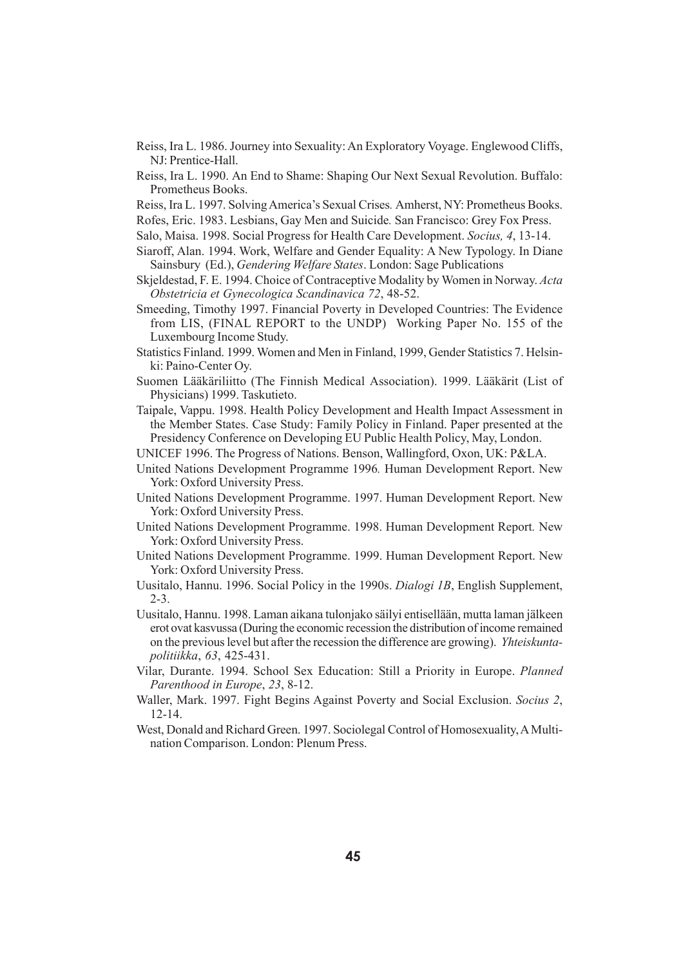- Reiss, Ira L. 1986. Journey into Sexuality: An Exploratory Voyage. Englewood Cliffs, NJ: Prentice-Hall.
- Reiss, Ira L. 1990. An End to Shame: Shaping Our Next Sexual Revolution. Buffalo: Prometheus Books.
- Reiss, Ira L. 1997. Solving America's Sexual Crises*.* Amherst, NY: Prometheus Books.
- Rofes, Eric. 1983. Lesbians, Gay Men and Suicide*.* San Francisco: Grey Fox Press.
- Salo, Maisa. 1998. Social Progress for Health Care Development. *Socius, 4*, 13-14.
- Siaroff, Alan. 1994. Work, Welfare and Gender Equality: A New Typology. In Diane Sainsbury (Ed.), *Gendering Welfare States*. London: Sage Publications
- Skjeldestad, F. E. 1994. Choice of Contraceptive Modality by Women in Norway. *Acta Obstetricia et Gynecologica Scandinavica 72*, 48-52.
- Smeeding, Timothy 1997. Financial Poverty in Developed Countries: The Evidence from LIS, (FINAL REPORT to the UNDP) Working Paper No. 155 of the Luxembourg Income Study.
- Statistics Finland. 1999. Women and Men in Finland, 1999, Gender Statistics 7. Helsinki: Paino-Center Oy.
- Suomen Lääkäriliitto (The Finnish Medical Association). 1999. Lääkärit (List of Physicians) 1999. Taskutieto.
- Taipale, Vappu. 1998. Health Policy Development and Health Impact Assessment in the Member States. Case Study: Family Policy in Finland. Paper presented at the Presidency Conference on Developing EU Public Health Policy, May, London.
- UNICEF 1996. The Progress of Nations. Benson, Wallingford, Oxon, UK: P&LA.
- United Nations Development Programme 1996*.* Human Development Report. New York: Oxford University Press.
- United Nations Development Programme. 1997. Human Development Report. New York: Oxford University Press.
- United Nations Development Programme. 1998. Human Development Report*.* New York: Oxford University Press.
- United Nations Development Programme. 1999. Human Development Report. New York: Oxford University Press.
- Uusitalo, Hannu. 1996. Social Policy in the 1990s. *Dialogi 1B*, English Supplement, 2-3.
- Uusitalo, Hannu. 1998. Laman aikana tulonjako säilyi entisellään, mutta laman jälkeen erot ovat kasvussa (During the economic recession the distribution of income remained on the previous level but after the recession the difference are growing). *Yhteiskuntapolitiikka*, *63*, 425-431.
- Vilar, Durante. 1994. School Sex Education: Still a Priority in Europe. *Planned Parenthood in Europe*, *23*, 8-12.
- Waller, Mark. 1997. Fight Begins Against Poverty and Social Exclusion. *Socius 2*, 12-14.
- West, Donald and Richard Green. 1997. Sociolegal Control of Homosexuality, A Multination Comparison. London: Plenum Press.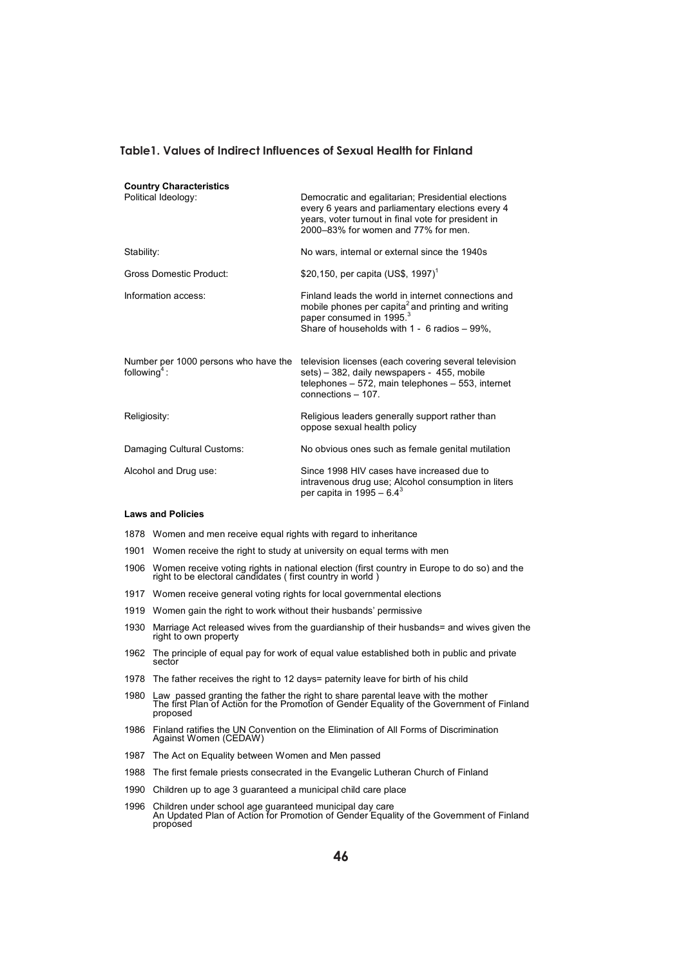#### **Table1. Values of Indirect Influences of Sexual Health for Finland**

| <b>Country Characteristics</b>                                |                                                                                                                                                                                                               |
|---------------------------------------------------------------|---------------------------------------------------------------------------------------------------------------------------------------------------------------------------------------------------------------|
| Political Ideology:                                           | Democratic and egalitarian; Presidential elections<br>every 6 years and parliamentary elections every 4<br>years, voter turnout in final vote for president in<br>2000–83% for women and 77% for men.         |
| Stability:                                                    | No wars, internal or external since the 1940s                                                                                                                                                                 |
| <b>Gross Domestic Product:</b>                                | \$20,150, per capita (US\$, 1997) <sup>1</sup>                                                                                                                                                                |
| Information access:                                           | Finland leads the world in internet connections and<br>mobile phones per capita <sup>2</sup> and printing and writing<br>paper consumed in 1995. <sup>3</sup><br>Share of households with 1 - 6 radios - 99%. |
| Number per 1000 persons who have the<br>following $\degree$ : | television licenses (each covering several television<br>sets) – 382, daily newspapers - 455, mobile<br>telephones $-572$ , main telephones $-553$ , internet<br>connections - 107.                           |
| Religiosity:                                                  | Religious leaders generally support rather than<br>oppose sexual health policy                                                                                                                                |
| Damaging Cultural Customs:                                    | No obvious ones such as female genital mutilation                                                                                                                                                             |
| Alcohol and Drug use:                                         | Since 1998 HIV cases have increased due to<br>intravenous drug use; Alcohol consumption in liters<br>per capita in 1995 – 6.4 <sup>3</sup>                                                                    |

#### **Laws and Policies**

- 1878 Women and men receive equal rights with regard to inheritance
- 1901 Women receive the right to study at university on equal terms with men
- 1906 Women receive voting rights in national election (first country in Europe to do so) and the right to be electoral candidates ( first country in world )
- 1917 Women receive general voting rights for local governmental elections
- 1919 Women gain the right to work without their husbands' permissive
- 1930 Marriage Act released wives from the guardianship of their husbands= and wives given the right to own property
- 1962 The principle of equal pay for work of equal value established both in public and private sector
- 1978 The father receives the right to 12 days= paternity leave for birth of his child
- 1980 Law passed granting the father the right to share parental leave with the mother The first Plan of Action for the Promotion of Gender Equality of the Government of Finland proposed
- 1986 Finland ratifies the UN Convention on the Elimination of All Forms of Discrimination Against Women (CEDAW)
- 1987 The Act on Equality between Women and Men passed
- 1988 The first female priests consecrated in the Evangelic Lutheran Church of Finland
- 1990 Children up to age 3 guaranteed a municipal child care place
- 1996 Children under school age guaranteed municipal day care An Updated Plan of Action for Promotion of Gender Equality of the Government of Finland proposed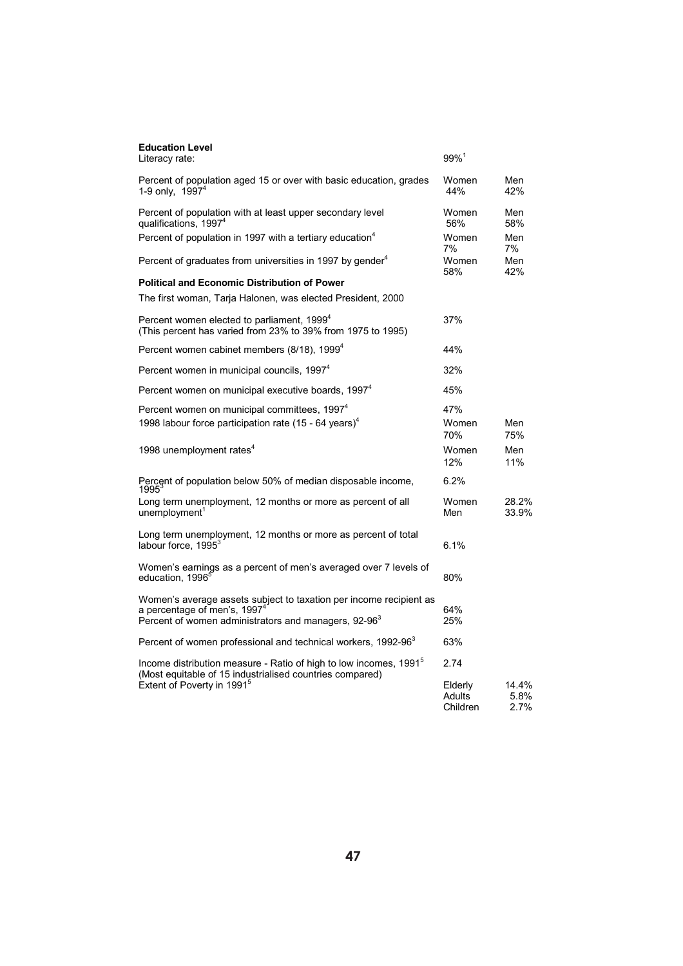| <b>Education Level</b><br>Literacy rate:                                                                                                                                           | $99\%$ <sup>1</sup>           |                       |
|------------------------------------------------------------------------------------------------------------------------------------------------------------------------------------|-------------------------------|-----------------------|
| Percent of population aged 15 or over with basic education, grades<br>1-9 only. 1997 <sup>4</sup>                                                                                  | Women<br>44%                  | Men<br>42%            |
| Percent of population with at least upper secondary level<br>qualifications, 1997 <sup>4</sup>                                                                                     | Women<br>56%                  | Men<br>58%            |
| Percent of population in 1997 with a tertiary education <sup>4</sup>                                                                                                               | Women<br>7%                   | Men<br>7%             |
| Percent of graduates from universities in 1997 by gender <sup>4</sup>                                                                                                              | Women<br>58%                  | Men<br>42%            |
| <b>Political and Economic Distribution of Power</b>                                                                                                                                |                               |                       |
| The first woman, Tarja Halonen, was elected President, 2000                                                                                                                        |                               |                       |
| Percent women elected to parliament, 1999 <sup>4</sup><br>(This percent has varied from 23% to 39% from 1975 to 1995)                                                              | 37%                           |                       |
| Percent women cabinet members (8/18), 1999 <sup>4</sup>                                                                                                                            | 44%                           |                       |
| Percent women in municipal councils, 1997 <sup>4</sup>                                                                                                                             | 32%                           |                       |
| Percent women on municipal executive boards, 1997 <sup>4</sup>                                                                                                                     | 45%                           |                       |
| Percent women on municipal committees, 1997 <sup>4</sup><br>1998 labour force participation rate $(15 - 64 \text{ years})^4$                                                       | 47%<br>Women<br>70%           | Men<br>75%            |
| 1998 unemployment rates <sup>4</sup>                                                                                                                                               | Women<br>12%                  | Men<br>11%            |
| Percent of population below 50% of median disposable income,<br>1995                                                                                                               | 6.2%                          |                       |
| Long term unemployment, 12 months or more as percent of all<br>unemployment <sup>1</sup>                                                                                           | Women<br>Men                  | 28.2%<br>33.9%        |
| Long term unemployment, 12 months or more as percent of total<br>labour force. 1995 <sup>3</sup>                                                                                   | 6.1%                          |                       |
| Women's earnings as a percent of men's averaged over 7 levels of<br>education, 1996 <sup>°</sup>                                                                                   | 80%                           |                       |
| Women's average assets subject to taxation per income recipient as<br>a percentage of men's, 1997 <sup>4</sup><br>Percent of women administrators and managers, 92-96 <sup>3</sup> | 64%<br>25%                    |                       |
| Percent of women professional and technical workers, 1992-96 <sup>3</sup>                                                                                                          | 63%                           |                       |
| Income distribution measure - Ratio of high to low incomes, 1991 <sup>5</sup><br>(Most equitable of 15 industrialised countries compared)                                          | 2.74                          |                       |
| Extent of Poverty in 1991 <sup>5</sup>                                                                                                                                             | Elderly<br>Adults<br>Children | 14.4%<br>5.8%<br>2.7% |